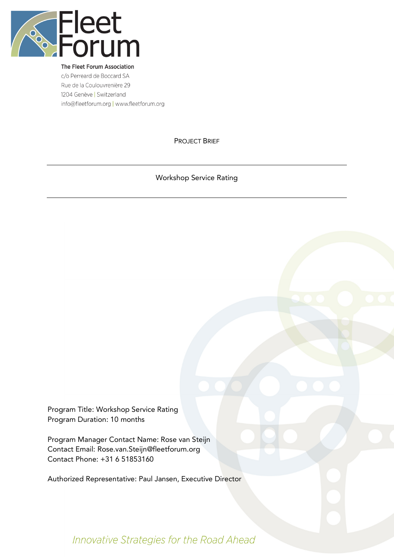

The Fleet Forum Association c/o Perreard de Boccard SA Rue de la Coulouvrenière 29 1204 Genève | Switzerland info@fleetforum.org | www.fleetforum.org

PROJECT BRIEF

Workshop Service Rating

Program Title: Workshop Service Rating Program Duration: 10 months

Program Manager Contact Name: Rose van Steijn Contact Email: Rose.van.Steijn@fleetforum.org Contact Phone: +31 6 51853160

Authorized Representative: Paul Jansen, Executive Director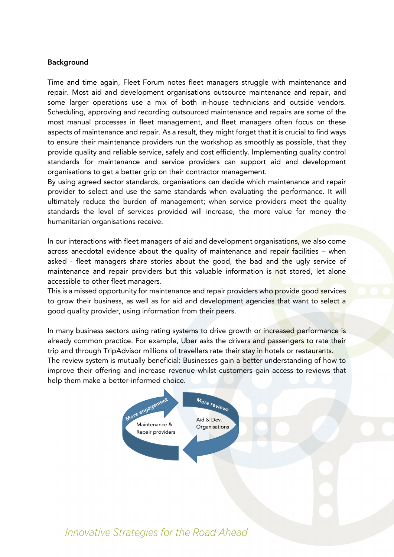#### Background

Time and time again, Fleet Forum notes fleet managers struggle with maintenance and repair. Most aid and development organisations outsource maintenance and repair, and some larger operations use a mix of both in-house technicians and outside vendors. Scheduling, approving and recording outsourced maintenance and repairs are some of the most manual processes in fleet management, and fleet managers often focus on these aspects of maintenance and repair. As a result, they might forget that it is crucial to find ways to ensure their maintenance providers run the workshop as smoothly as possible, that they provide quality and reliable service, safely and cost efficiently. Implementing quality control standards for maintenance and service providers can support aid and development organisations to get a better grip on their contractor management.

By using agreed sector standards, organisations can decide which maintenance and repair provider to select and use the same standards when evaluating the performance. It will ultimately reduce the burden of management; when service providers meet the quality standards the level of services provided will increase, the more value for money the humanitarian organisations receive.

In our interactions with fleet managers of aid and development organisations, we also come across anecdotal evidence about the quality of maintenance and repair facilities – when asked - fleet managers share stories about the good, the bad and the ugly service of maintenance and repair providers but this valuable information is not stored, let alone accessible to other fleet managers.

This is a missed opportunity for maintenance and repair providers who provide good services to grow their business, as well as for aid and development agencies that want to select a good quality provider, using information from their peers.

In many business sectors using rating systems to drive growth or increased performance is already common practice. For example, Uber asks the drivers and passengers to rate their trip and through TripAdvisor millions of travellers rate their stay in hotels or restaurants. The review system is mutually beneficial: Businesses gain a better understanding of how to improve their offering and increase revenue whilst customers gain access to reviews that help them make a better-informed choice.

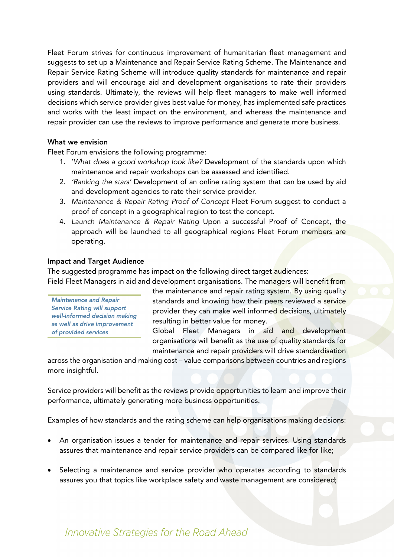Fleet Forum strives for continuous improvement of humanitarian fleet management and suggests to set up a Maintenance and Repair Service Rating Scheme. The Maintenance and Repair Service Rating Scheme will introduce quality standards for maintenance and repair providers and will encourage aid and development organisations to rate their providers using standards. Ultimately, the reviews will help fleet managers to make well informed decisions which service provider gives best value for money, has implemented safe practices and works with the least impact on the environment, and whereas the maintenance and repair provider can use the reviews to improve performance and generate more business.

#### What we envision

Fleet Forum envisions the following programme:

- 1. '*What does a good workshop look like?* Development of the standards upon which maintenance and repair workshops can be assessed and identified.
- 2. *'Ranking the stars'* Development of an online rating system that can be used by aid and development agencies to rate their service provider.
- 3. *Maintenance & Repair Rating Proof of Concept* Fleet Forum suggest to conduct a proof of concept in a geographical region to test the concept.
- 4. *Launch Maintenance & Repair Rating* Upon a successful Proof of Concept, the approach will be launched to all geographical regions Fleet Forum members are operating.

#### Impact and Target Audience

*as well as drive improvement* 

*of provided services*

The suggested programme has impact on the following direct target audiences:

Field Fleet Managers in aid and development organisations. The managers will benefit from the maintenance and repair rating system. By using quality standards and knowing how their peers reviewed a service provider they can make well informed decisions, ultimately resulting in better value for money. *Maintenance and Repair Service Rating will support well-informed decision making* 

> Global Fleet Managers in aid and development organisations will benefit as the use of quality standards for maintenance and repair providers will drive standardisation

across the organisation and making cost – value comparisons between countries and regions more insightful.

Service providers will benefit as the reviews provide opportunities to learn and improve their performance, ultimately generating more business opportunities.

Examples of how standards and the rating scheme can help organisations making decisions:

- An organisation issues a tender for maintenance and repair services. Using standards assures that maintenance and repair service providers can be compared like for like;
- Selecting a maintenance and service provider who operates according to standards assures you that topics like workplace safety and waste management are considered;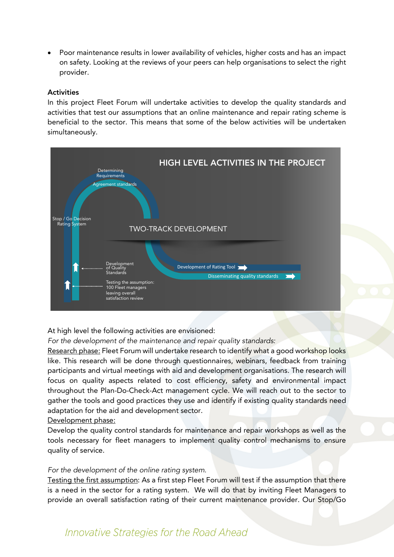• Poor maintenance results in lower availability of vehicles, higher costs and has an impact on safety. Looking at the reviews of your peers can help organisations to select the right provider.

#### **Activities**

In this project Fleet Forum will undertake activities to develop the quality standards and activities that test our assumptions that an online maintenance and repair rating scheme is beneficial to the sector. This means that some of the below activities will be undertaken simultaneously.



At high level the following activities are envisioned:

*For the development of the maintenance and repair quality standards:*

Research phase: Fleet Forum will undertake research to identify what a good workshop looks like. This research will be done through questionnaires, webinars, feedback from training participants and virtual meetings with aid and development organisations. The research will focus on quality aspects related to cost efficiency, safety and environmental impact throughout the Plan-Do-Check-Act management cycle. We will reach out to the sector to gather the tools and good practices they use and identify if existing quality standards need adaptation for the aid and development sector.

#### Development phase:

Develop the quality control standards for maintenance and repair workshops as well as the tools necessary for fleet managers to implement quality control mechanisms to ensure quality of service.

#### *For the development of the online rating system.*

Testing the first assumption: As a first step Fleet Forum will test if the assumption that there is a need in the sector for a rating system. We will do that by inviting Fleet Managers to provide an overall satisfaction rating of their current maintenance provider. Our Stop/Go